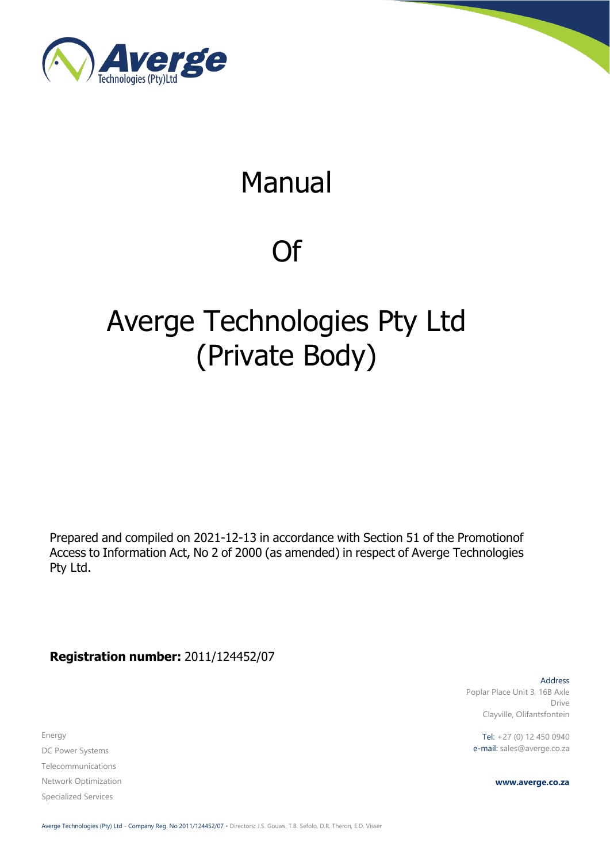

# Manual

# Of

# Averge Technologies Pty Ltd (Private Body)

Prepared and compiled on 2021-12-13 in accordance with Section 51 of the Promotionof Access to Information Act, No 2 of 2000 (as amended) in respect of Averge Technologies Pty Ltd.

**Registration number:** 2011/124452/07

Energy DC Power Systems Telecommunications Network Optimization Specialized Services

Address Poplar Place Unit 3, 16B Axle Drive Clayville, Olifantsfontein

Tel: +27 (0) 12 450 0940 e-mail: sales@averge.co.za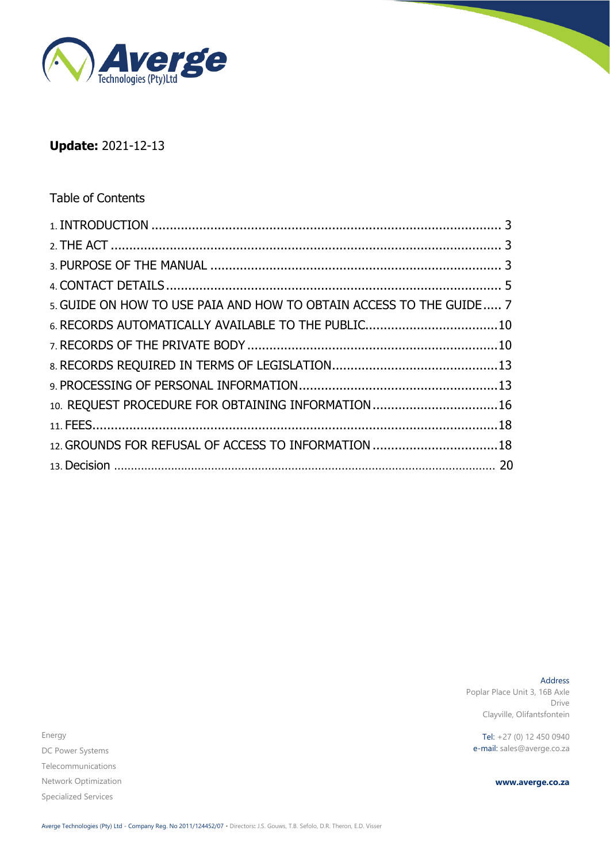

# **Update:** 2021-12-13

### Table of Contents

| 5. GUIDE ON HOW TO USE PAIA AND HOW TO OBTAIN ACCESS TO THE GUIDE 7 |  |
|---------------------------------------------------------------------|--|
| 6. RECORDS AUTOMATICALLY AVAILABLE TO THE PUBLIC10                  |  |
|                                                                     |  |
|                                                                     |  |
|                                                                     |  |
| 10. REQUEST PROCEDURE FOR OBTAINING INFORMATION 16                  |  |
|                                                                     |  |
| 12. GROUNDS FOR REFUSAL OF ACCESS TO INFORMATION 18                 |  |
|                                                                     |  |
|                                                                     |  |

Address Poplar Place Unit 3, 16B Axle Drive Clayville, Olifantsfontein

Tel: +27 (0) 12 450 0940 e-mail: sales@averge.co.za

**www.averge.co.za**

Energy DC Power Systems Telecommunications Network Optimization Specialized Services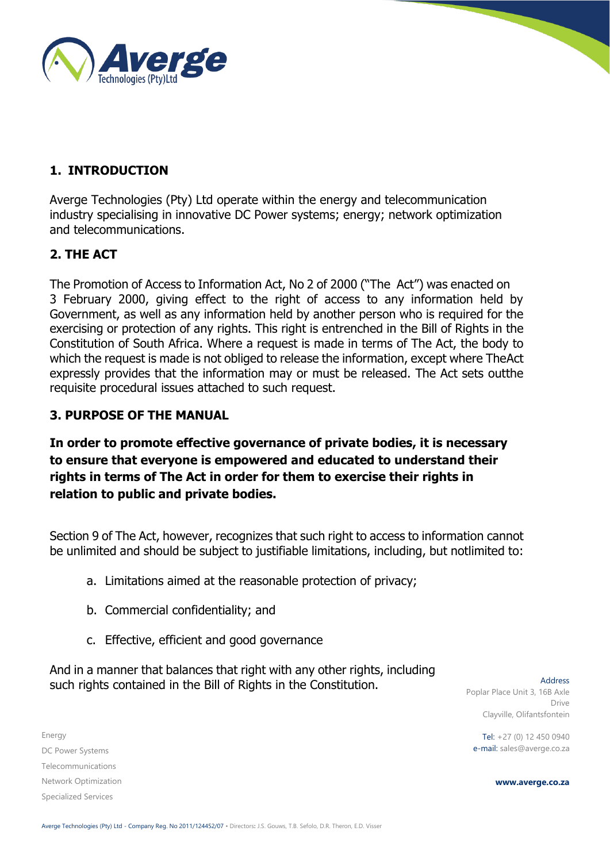

# **1. INTRODUCTION**

Averge Technologies (Pty) Ltd operate within the energy and telecommunication industry specialising in innovative DC Power systems; energy; network optimization and telecommunications.

### <span id="page-2-0"></span>**2. THE ACT**

The Promotion of Access to Information Act, No 2 of 2000 ("The Act") was enacted on 3 February 2000, giving effect to the right of access to any information held by Government, as well as any information held by another person who is required for the exercising or protection of any rights. This right is entrenched in the Bill of Rights in the Constitution of South Africa. Where a request is made in terms of The Act, the body to which the request is made is not obliged to release the information, except where TheAct expressly provides that the information may or must be released. The Act sets outthe requisite procedural issues attached to such request.

#### <span id="page-2-1"></span>**3. PURPOSE OF THE MANUAL**

**In order to promote effective governance of private bodies, it is necessary to ensure that everyone is empowered and educated to understand their rights in terms of The Act in order for them to exercise their rights in relation to public and private bodies.**

Section 9 of The Act, however, recognizes that such right to access to information cannot be unlimited and should be subject to justifiable limitations, including, but notlimited to:

- a. Limitations aimed at the reasonable protection of privacy;
- b. Commercial confidentiality; and
- c. Effective, efficient and good governance

And in a manner that balances that right with any other rights, including such rights contained in the Bill of Rights in the Constitution.

Energy DC Power Systems Telecommunications Network Optimization Specialized Services

Address Poplar Place Unit 3, 16B Axle Drive Clayville, Olifantsfontein

Tel: +27 (0) 12 450 0940 e-mail: sales@averge.co.za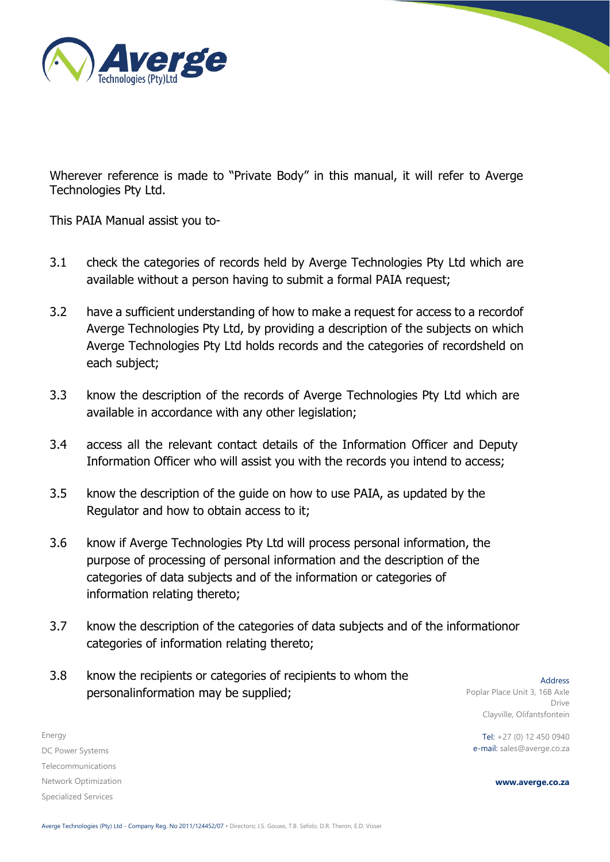

Wherever reference is made to "Private Body" in this manual, it will refer to Averge Technologies Pty Ltd.

This PAIA Manual assist you to-

- 3.1 check the categories of records held by Averge Technologies Pty Ltd which are available without a person having to submit a formal PAIA request;
- 3.2 have a sufficient understanding of how to make a request for access to a recordof Averge Technologies Pty Ltd, by providing a description of the subjects on which Averge Technologies Pty Ltd holds records and the categories of recordsheld on each subject;
- 3.3 know the description of the records of Averge Technologies Pty Ltd which are available in accordance with any other legislation;
- 3.4 access all the relevant contact details of the Information Officer and Deputy Information Officer who will assist you with the records you intend to access;
- 3.5 know the description of the guide on how to use PAIA, as updated by the Regulator and how to obtain access to it;
- 3.6 know if Averge Technologies Pty Ltd will process personal information, the purpose of processing of personal information and the description of the categories of data subjects and of the information or categories of information relating thereto;
- 3.7 know the description of the categories of data subjects and of the informationor categories of information relating thereto;
- 3.8 know the recipients or categories of recipients to whom the personalinformation may be supplied;

Address Poplar Place Unit 3, 16B Axle Drive Clayville, Olifantsfontein

Tel: +27 (0) 12 450 0940 e-mail: sales@averge.co.za

**www.averge.co.za**

DC Power Systems Telecommunications Network Optimization Specialized Services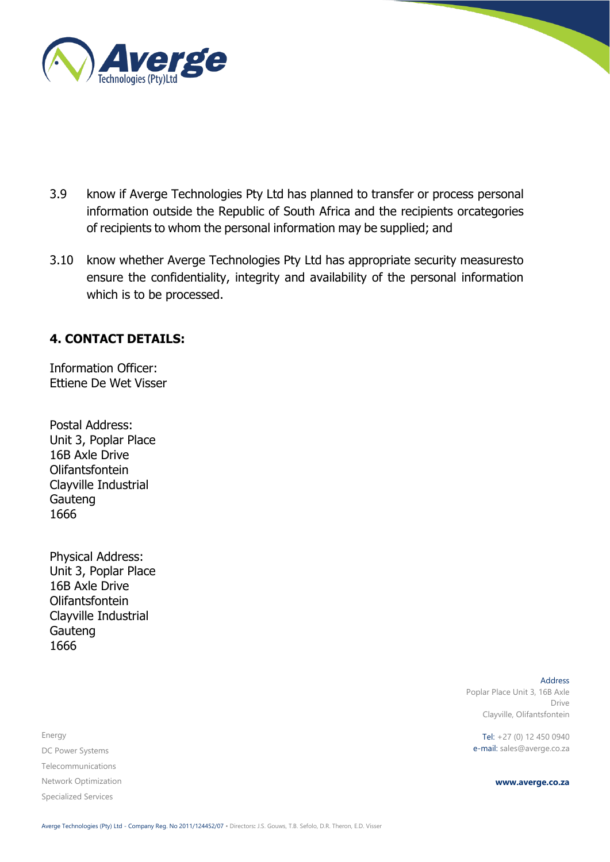

- 3.9 know if Averge Technologies Pty Ltd has planned to transfer or process personal information outside the Republic of South Africa and the recipients orcategories of recipients to whom the personal information may be supplied; and
- 3.10 know whether Averge Technologies Pty Ltd has appropriate security measuresto ensure the confidentiality, integrity and availability of the personal information which is to be processed.

### <span id="page-4-0"></span>**4. CONTACT DETAILS:**

Information Officer: Ettiene De Wet Visser

Postal Address: Unit 3, Poplar Place 16B Axle Drive Olifantsfontein Clayville Industrial Gauteng 1666

Physical Address: Unit 3, Poplar Place 16B Axle Drive Olifantsfontein Clayville Industrial Gauteng 1666

Energy DC Power Systems Telecommunications Network Optimization Specialized Services

Address Poplar Place Unit 3, 16B Axle Drive Clayville, Olifantsfontein

Tel: +27 (0) 12 450 0940 e-mail: sales@averge.co.za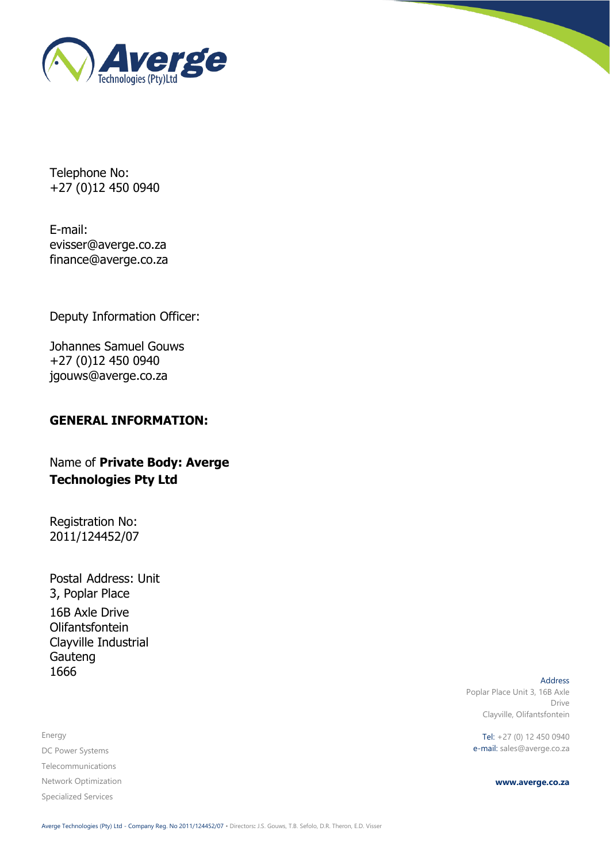

Telephone No: +27 (0)12 450 0940

E-mail: [evisser@averge.co.za](mailto:evisser@averge.co.za) [finance@averge.co.za](mailto:finance@averge.co.za)

Deputy Information Officer:

Johannes Samuel Gouws +27 (0)12 450 0940 [jgouws@averge.co.za](mailto:jgouws@averge.co.za)

### **GENERAL INFORMATION:**

Name of **Private Body: Averge Technologies Pty Ltd**

Registration No: 2011/124452/07

Postal Address: Unit 3, Poplar Place 16B Axle Drive Olifantsfontein Clayville Industrial Gauteng 1666

Energy DC Power Systems Telecommunications Network Optimization Specialized Services

Address Poplar Place Unit 3, 16B Axle Drive Clayville, Olifantsfontein

Tel: +27 (0) 12 450 0940 e-mail: sales@averge.co.za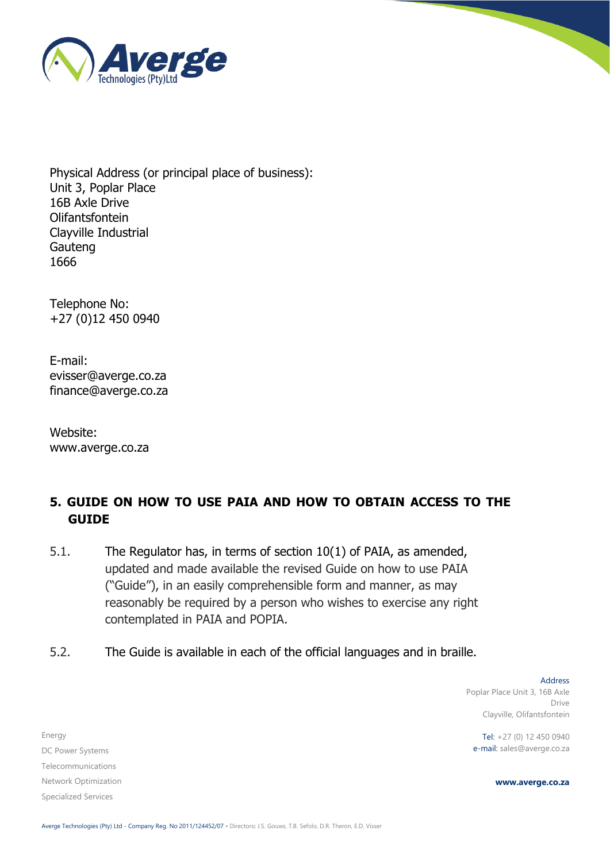

Physical Address (or principal place of business): Unit 3, Poplar Place 16B Axle Drive Olifantsfontein Clayville Industrial Gauteng 1666

Telephone No: +27 (0)12 450 0940

E-mail: [evisser@averge.co.za](mailto:evisser@averge.co.za) [finance@averge.co.za](mailto:finance@averge.co.za)

Website: [www.averge.co.za](http://www.averge.co.za/)

# <span id="page-6-0"></span>**5. GUIDE ON HOW TO USE PAIA AND HOW TO OBTAIN ACCESS TO THE GUIDE**

- 5.1. The Regulator has, in terms of section 10(1) of PAIA, as amended, updated and made available the revised Guide on how to use PAIA ("Guide"), in an easily comprehensible form and manner, as may reasonably be required by a person who wishes to exercise any right contemplated in PAIA and POPIA.
- 5.2. The Guide is available in each of the official languages and in braille.

Energy DC Power Systems Telecommunications Network Optimization Specialized Services

Address Poplar Place Unit 3, 16B Axle Drive Clayville, Olifantsfontein

Tel: +27 (0) 12 450 0940 e-mail: sales@averge.co.za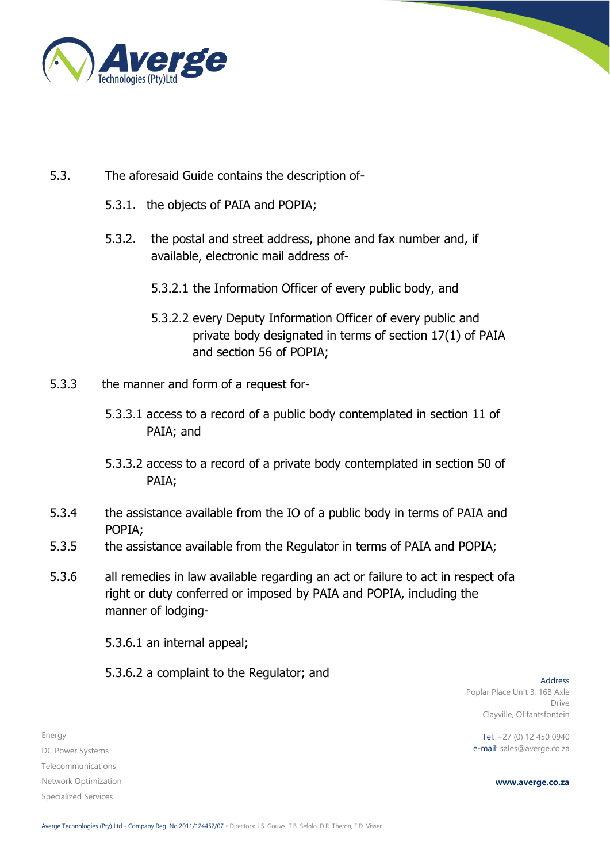

## 5.3. The aforesaid Guide contains the description of-

- 5.3.1. the objects of PAIA and POPIA;
- 5.3.2. the postal and street address, phone and fax number and, if available, electronic mail address of-
	- 5.3.2.1 the Information Officer of every public body, and
	- 5.3.2.2 every Deputy Information Officer of every public and private body designated in terms of section 17(1) of PAIA and section 56 of POPIA;
- 5.3.3 the manner and form of a request for-
	- 5.3.3.1 access to a record of a public body contemplated in section 11 of PAIA; and
	- 5.3.3.2 access to a record of a private body contemplated in section 50 of PAIA;
- 5.3.4 the assistance available from the IO of a public body in terms of PAIA and POPIA;
- 5.3.5 the assistance available from the Regulator in terms of PAIA and POPIA;
- 5.3.6 all remedies in law available regarding an act or failure to act in respect ofa right or duty conferred or imposed by PAIA and POPIA, including the manner of lodging-

5.3.6.1 an internal appeal;

5.3.6.2 a complaint to the Regulator; and

Address Poplar Place Unit 3, 16B Axle Drive Clayville, Olifantsfontein

Tel: +27 (0) 12 450 0940 e-mail: sales@averge.co.za

**www.averge.co.za**

DC Power Systems Telecommunications Network Optimization Specialized Services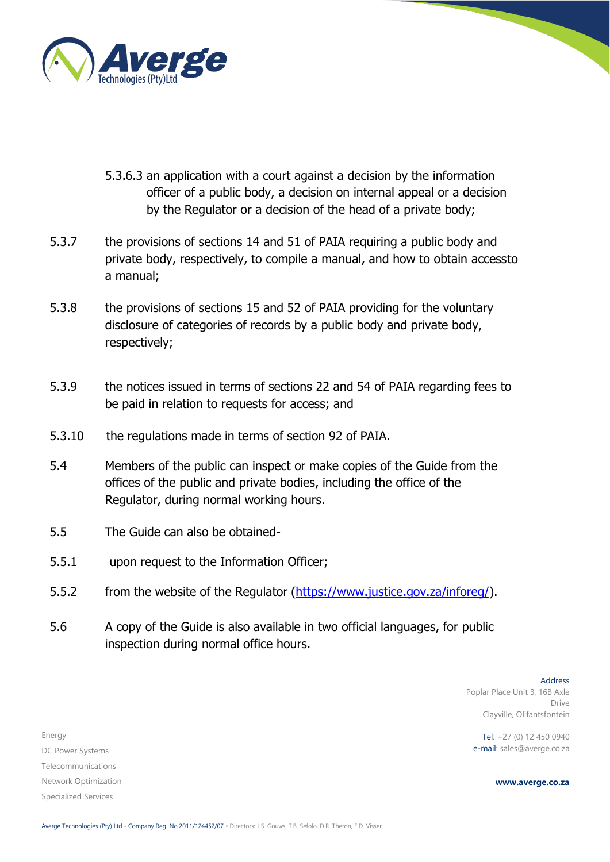

- 5.3.6.3 an application with a court against a decision by the information officer of a public body, a decision on internal appeal or a decision by the Regulator or a decision of the head of a private body;
- 5.3.7 the provisions of sections 14 and 51 of PAIA requiring a public body and private body, respectively, to compile a manual, and how to obtain accessto a manual;
- 5.3.8 the provisions of sections 15 and 52 of PAIA providing for the voluntary disclosure of categories of records by a public body and private body, respectively;
- 5.3.9 the notices issued in terms of sections 22 and 54 of PAIA regarding fees to be paid in relation to requests for access; and
- 5.3.10 the regulations made in terms of section 92 of PAIA.
- 5.4 Members of the public can inspect or make copies of the Guide from the offices of the public and private bodies, including the office of the Regulator, during normal working hours.
- 5.5 The Guide can also be obtained-
- 5.5.1 upon request to the Information Officer;
- 5.5.2 from the website of the Regulator [\(https://www.justice.gov.za/inforeg/\)](https://www.justice.gov.za/inforeg/).
- 5.6 A copy of the Guide is also available in two official languages, for public inspection during normal office hours.

Address Poplar Place Unit 3, 16B Axle Drive Clayville, Olifantsfontein

Tel: +27 (0) 12 450 0940 e-mail: sales@averge.co.za

**www.averge.co.za**

DC Power Systems Telecommunications Network Optimization Specialized Services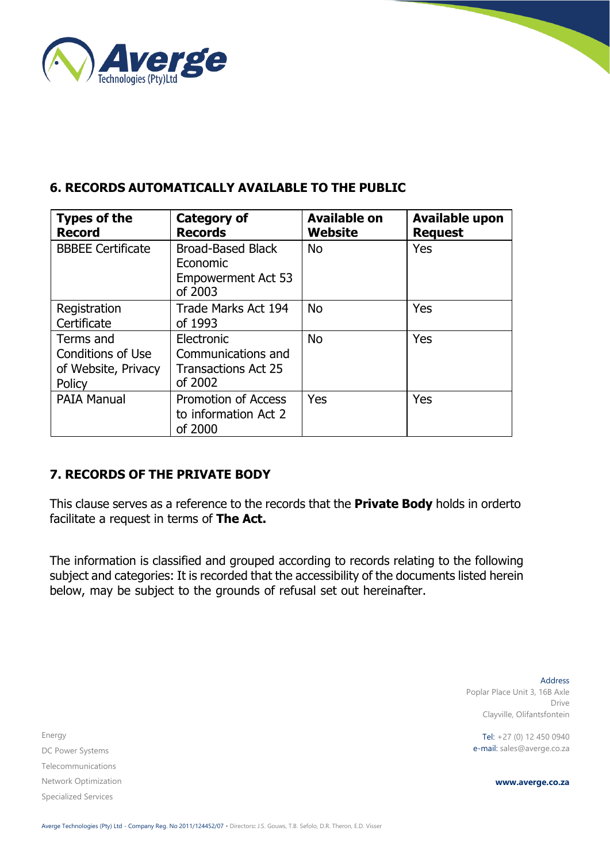

## <span id="page-9-0"></span>**6. RECORDS AUTOMATICALLY AVAILABLE TO THE PUBLIC**

| <b>Types of the</b><br><b>Record</b>                            | <b>Category of</b><br><b>Records</b>                                         | <b>Available on</b><br>Website | <b>Available upon</b><br><b>Request</b> |
|-----------------------------------------------------------------|------------------------------------------------------------------------------|--------------------------------|-----------------------------------------|
| <b>BBBEE Certificate</b>                                        | <b>Broad-Based Black</b><br>Economic<br><b>Empowerment Act 53</b><br>of 2003 | <b>No</b>                      | Yes                                     |
| Registration<br>Certificate                                     | Trade Marks Act 194<br>of 1993                                               | <b>No</b>                      | Yes                                     |
| Terms and<br>Conditions of Use<br>of Website, Privacy<br>Policy | Electronic<br>Communications and<br><b>Transactions Act 25</b><br>of 2002    | <b>No</b>                      | Yes                                     |
| <b>PAIA Manual</b>                                              | <b>Promotion of Access</b><br>to information Act 2<br>of 2000                | <b>Yes</b>                     | Yes                                     |

# <span id="page-9-1"></span>**7. RECORDS OF THE PRIVATE BODY**

This clause serves as a reference to the records that the **Private Body** holds in orderto facilitate a request in terms of **The Act.**

The information is classified and grouped according to records relating to the following subject and categories: It is recorded that the accessibility of the documents listed herein below, may be subject to the grounds of refusal set out hereinafter.

Energy DC Power Systems Telecommunications Network Optimization Specialized Services

Address Poplar Place Unit 3, 16B Axle Drive Clayville, Olifantsfontein

Tel: +27 (0) 12 450 0940 e-mail: sales@averge.co.za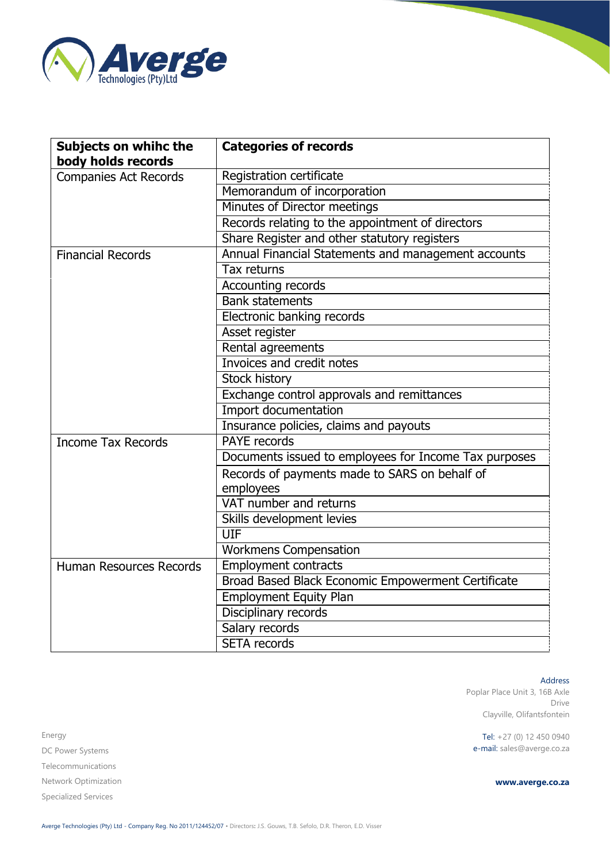

| <b>Subjects on whihc the</b><br>body holds records | <b>Categories of records</b>                          |
|----------------------------------------------------|-------------------------------------------------------|
| <b>Companies Act Records</b>                       | Registration certificate                              |
|                                                    | Memorandum of incorporation                           |
|                                                    | Minutes of Director meetings                          |
|                                                    | Records relating to the appointment of directors      |
|                                                    | Share Register and other statutory registers          |
| <b>Financial Records</b>                           | Annual Financial Statements and management accounts   |
|                                                    | Tax returns                                           |
|                                                    | Accounting records                                    |
|                                                    | <b>Bank statements</b>                                |
|                                                    | Electronic banking records                            |
|                                                    | Asset register                                        |
|                                                    | Rental agreements                                     |
|                                                    | Invoices and credit notes                             |
|                                                    | <b>Stock history</b>                                  |
|                                                    | Exchange control approvals and remittances            |
|                                                    | Import documentation                                  |
|                                                    | Insurance policies, claims and payouts                |
| <b>Income Tax Records</b>                          | <b>PAYE</b> records                                   |
|                                                    | Documents issued to employees for Income Tax purposes |
|                                                    | Records of payments made to SARS on behalf of         |
|                                                    | employees                                             |
|                                                    | VAT number and returns                                |
|                                                    | Skills development levies                             |
|                                                    | UIF                                                   |
|                                                    | <b>Workmens Compensation</b>                          |
| <b>Human Resources Records</b>                     | Employment contracts                                  |
|                                                    | Broad Based Black Economic Empowerment Certificate    |
|                                                    | <b>Employment Equity Plan</b>                         |
|                                                    | Disciplinary records                                  |
|                                                    | Salary records                                        |
|                                                    | <b>SETA</b> records                                   |

Energy DC Power Systems Telecommunications Network Optimization Specialized Services

Address

Poplar Place Unit 3, 16B Axle Drive Clayville, Olifantsfontein

Tel: +27 (0) 12 450 0940 e-mail: sales@averge.co.za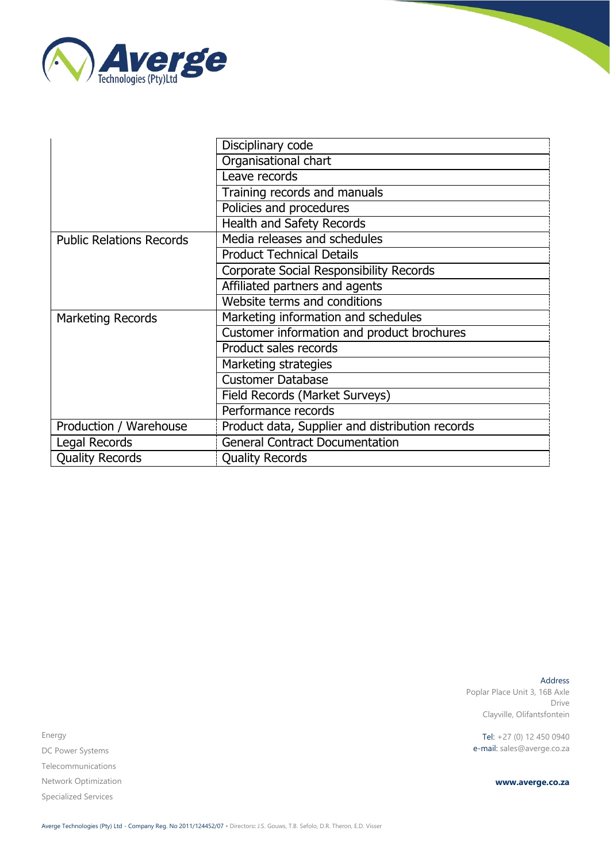

|                                 | Disciplinary code                               |
|---------------------------------|-------------------------------------------------|
|                                 | Organisational chart                            |
|                                 | Leave records                                   |
|                                 | Training records and manuals                    |
|                                 | Policies and procedures                         |
|                                 | <b>Health and Safety Records</b>                |
| <b>Public Relations Records</b> | Media releases and schedules                    |
|                                 | <b>Product Technical Details</b>                |
|                                 | Corporate Social Responsibility Records         |
|                                 | Affiliated partners and agents                  |
|                                 | Website terms and conditions                    |
| <b>Marketing Records</b>        | Marketing information and schedules             |
|                                 | Customer information and product brochures      |
|                                 | Product sales records                           |
|                                 | Marketing strategies                            |
|                                 | <b>Customer Database</b>                        |
|                                 | Field Records (Market Surveys)                  |
|                                 | Performance records                             |
| Production / Warehouse          | Product data, Supplier and distribution records |
| Legal Records                   | <b>General Contract Documentation</b>           |
| <b>Quality Records</b>          | <b>Quality Records</b>                          |

Address Poplar Place Unit 3, 16B Axle Drive Clayville, Olifantsfontein

Tel: +27 (0) 12 450 0940 e-mail: sales@averge.co.za

**www.averge.co.za**

Energy DC Power Systems Telecommunications Network Optimization Specialized Services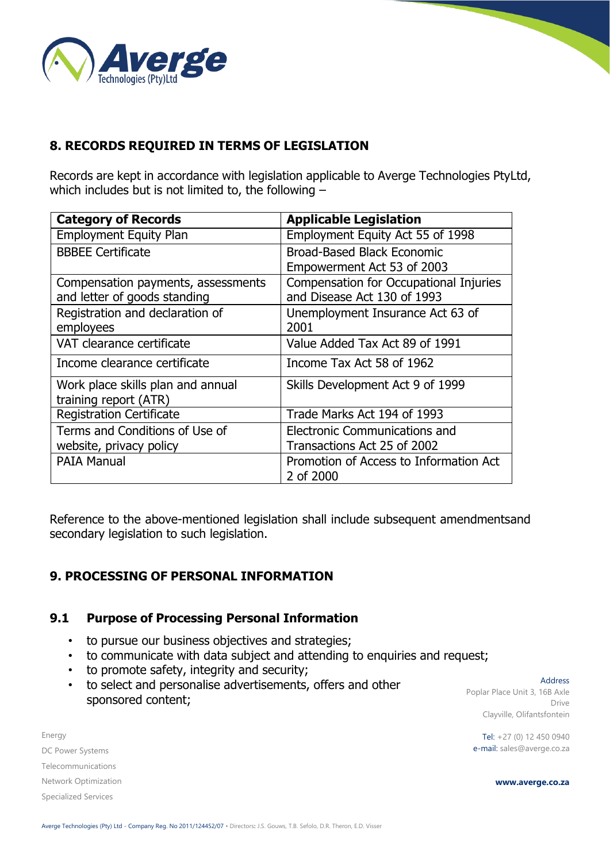

# <span id="page-12-0"></span>**8. RECORDS REQUIRED IN TERMS OF LEGISLATION**

Records are kept in accordance with legislation applicable to Averge Technologies PtyLtd, which includes but is not limited to, the following –

| <b>Category of Records</b>         | <b>Applicable Legislation</b>          |
|------------------------------------|----------------------------------------|
| <b>Employment Equity Plan</b>      | Employment Equity Act 55 of 1998       |
| <b>BBBEE Certificate</b>           | Broad-Based Black Economic             |
|                                    | Empowerment Act 53 of 2003             |
| Compensation payments, assessments | Compensation for Occupational Injuries |
| and letter of goods standing       | and Disease Act 130 of 1993            |
| Registration and declaration of    | Unemployment Insurance Act 63 of       |
| employees                          | 2001                                   |
| VAT clearance certificate          | Value Added Tax Act 89 of 1991         |
| Income clearance certificate       | Income Tax Act 58 of 1962              |
| Work place skills plan and annual  | Skills Development Act 9 of 1999       |
| training report (ATR)              |                                        |
| <b>Registration Certificate</b>    | Trade Marks Act 194 of 1993            |
| Terms and Conditions of Use of     | Electronic Communications and          |
| website, privacy policy            | Transactions Act 25 of 2002            |
| <b>PAIA Manual</b>                 | Promotion of Access to Information Act |
|                                    | 2 of 2000                              |

Reference to the above-mentioned legislation shall include subsequent amendmentsand secondary legislation to such legislation.

### <span id="page-12-1"></span>**9. PROCESSING OF PERSONAL INFORMATION**

#### **9.1 Purpose of Processing Personal Information**

- to pursue our business objectives and strategies;
- to communicate with data subject and attending to enquiries and request;
- to promote safety, integrity and security;
- to select and personalise advertisements, offers and other sponsored content;

Energy DC Power Systems Telecommunications Network Optimization Specialized Services

Address Poplar Place Unit 3, 16B Axle Drive Clayville, Olifantsfontein

Tel: +27 (0) 12 450 0940 e-mail: sales@averge.co.za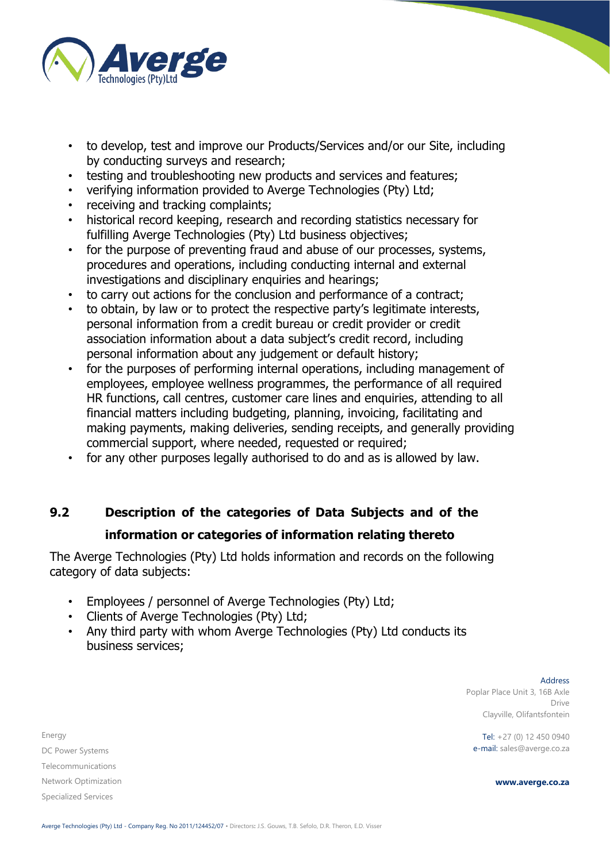

- to develop, test and improve our Products/Services and/or our Site, including by conducting surveys and research;
- testing and troubleshooting new products and services and features;
- verifying information provided to Averge Technologies (Pty) Ltd;
- receiving and tracking complaints;
- historical record keeping, research and recording statistics necessary for fulfilling Averge Technologies (Pty) Ltd business objectives;
- for the purpose of preventing fraud and abuse of our processes, systems, procedures and operations, including conducting internal and external investigations and disciplinary enquiries and hearings;
- to carry out actions for the conclusion and performance of a contract;
- to obtain, by law or to protect the respective party's legitimate interests, personal information from a credit bureau or credit provider or credit association information about a data subject's credit record, including personal information about any judgement or default history;
- for the purposes of performing internal operations, including management of employees, employee wellness programmes, the performance of all required HR functions, call centres, customer care lines and enquiries, attending to all financial matters including budgeting, planning, invoicing, facilitating and making payments, making deliveries, sending receipts, and generally providing commercial support, where needed, requested or required;
- for any other purposes legally authorised to do and as is allowed by law.

# **9.2 Description of the categories of Data Subjects and of the information or categories of information relating thereto**

The Averge Technologies (Pty) Ltd holds information and records on the following category of data subjects:

- Employees / personnel of Averge Technologies (Pty) Ltd;
- Clients of Averge Technologies (Pty) Ltd;
- Any third party with whom Averge Technologies (Pty) Ltd conducts its business services;

Address Poplar Place Unit 3, 16B Axle Drive Clayville, Olifantsfontein

Tel: +27 (0) 12 450 0940 e-mail: sales@averge.co.za

**www.averge.co.za**

DC Power Systems Telecommunications Network Optimization Specialized Services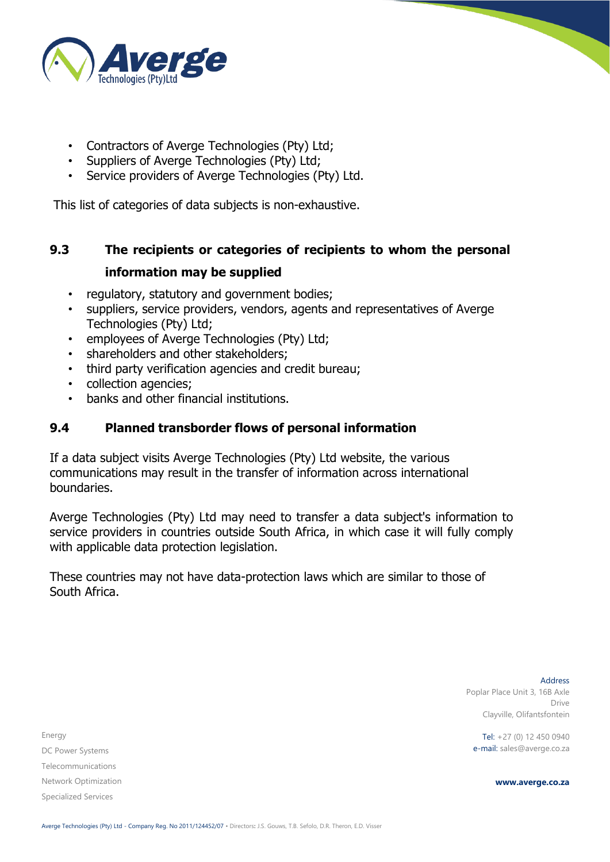

- Contractors of Averge Technologies (Pty) Ltd;
- Suppliers of Averge Technologies (Pty) Ltd;
- Service providers of Averge Technologies (Pty) Ltd.

This list of categories of data subjects is non-exhaustive.

# **9.3 The recipients or categories of recipients to whom the personal information may be supplied**

- regulatory, statutory and government bodies;
- suppliers, service providers, vendors, agents and representatives of Averge Technologies (Pty) Ltd;
- employees of Averge Technologies (Pty) Ltd;
- shareholders and other stakeholders;
- third party verification agencies and credit bureau;
- collection agencies;
- banks and other financial institutions.

# **9.4 Planned transborder flows of personal information**

If a data subject visits Averge Technologies (Pty) Ltd website, the various communications may result in the transfer of information across international boundaries.

Averge Technologies (Pty) Ltd may need to transfer a data subject's information to service providers in countries outside South Africa, in which case it will fully comply with applicable data protection legislation.

These countries may not have data-protection laws which are similar to those of South Africa.

Energy DC Power Systems Telecommunications Network Optimization Specialized Services

Address Poplar Place Unit 3, 16B Axle Drive Clayville, Olifantsfontein

Tel: +27 (0) 12 450 0940 e-mail: sales@averge.co.za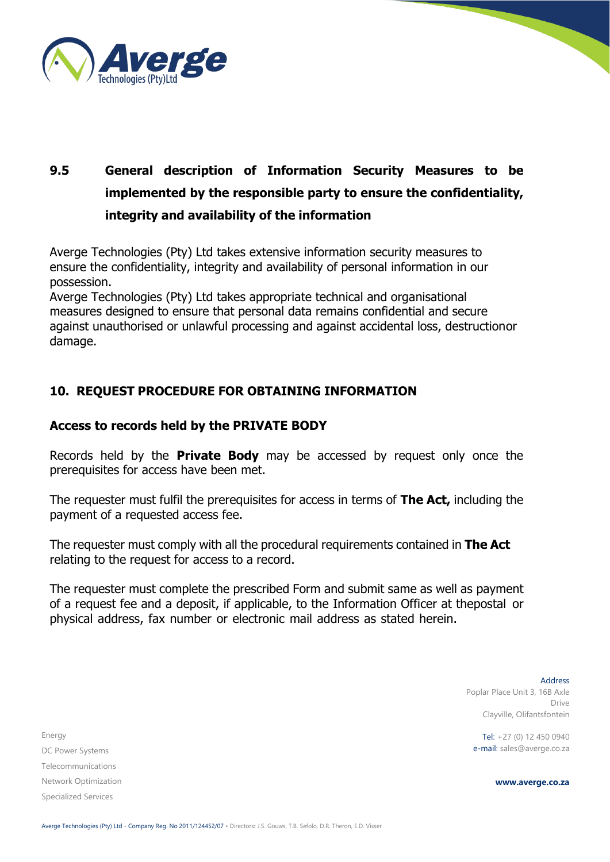

# **9.5 General description of Information Security Measures to be implemented by the responsible party to ensure the confidentiality, integrity and availability of the information**

Averge Technologies (Pty) Ltd takes extensive information security measures to ensure the confidentiality, integrity and availability of personal information in our possession.

Averge Technologies (Pty) Ltd takes appropriate technical and organisational measures designed to ensure that personal data remains confidential and secure against unauthorised or unlawful processing and against accidental loss, destructionor damage.

# **10. REQUEST PROCEDURE FOR OBTAINING INFORMATION**

#### **Access to records held by the PRIVATE BODY**

Records held by the **Private Body** may be accessed by request only once the prerequisites for access have been met.

The requester must fulfil the prerequisites for access in terms of **The Act,** including the payment of a requested access fee.

The requester must comply with all the procedural requirements contained in **The Act** relating to the request for access to a record.

The requester must complete the prescribed Form and submit same as well as payment of a request fee and a deposit, if applicable, to the Information Officer at thepostal or physical address, fax number or electronic mail address as stated herein.

Energy DC Power Systems Telecommunications Network Optimization Specialized Services

Address Poplar Place Unit 3, 16B Axle Drive Clayville, Olifantsfontein

Tel: +27 (0) 12 450 0940 e-mail: sales@averge.co.za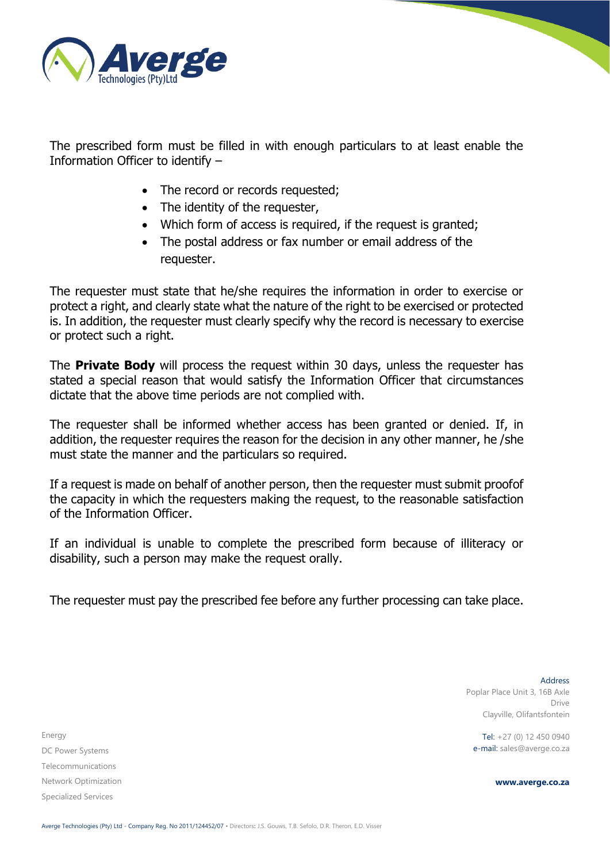

The prescribed form must be filled in with enough particulars to at least enable the Information Officer to identify –

- The record or records requested;
- The identity of the requester,
- Which form of access is required, if the request is granted;
- The postal address or fax number or email address of the requester.

The requester must state that he/she requires the information in order to exercise or protect a right, and clearly state what the nature of the right to be exercised or protected is. In addition, the requester must clearly specify why the record is necessary to exercise or protect such a right.

The **Private Body** will process the request within 30 days, unless the requester has stated a special reason that would satisfy the Information Officer that circumstances dictate that the above time periods are not complied with.

The requester shall be informed whether access has been granted or denied. If, in addition, the requester requires the reason for the decision in any other manner, he /she must state the manner and the particulars so required.

If a request is made on behalf of another person, then the requester must submit proofof the capacity in which the requesters making the request, to the reasonable satisfaction of the Information Officer.

If an individual is unable to complete the prescribed form because of illiteracy or disability, such a person may make the request orally.

The requester must pay the prescribed fee before any further processing can take place.

Energy DC Power Systems Telecommunications Network Optimization Specialized Services

Address Poplar Place Unit 3, 16B Axle Drive Clayville, Olifantsfontein

Tel: +27 (0) 12 450 0940 e-mail: sales@averge.co.za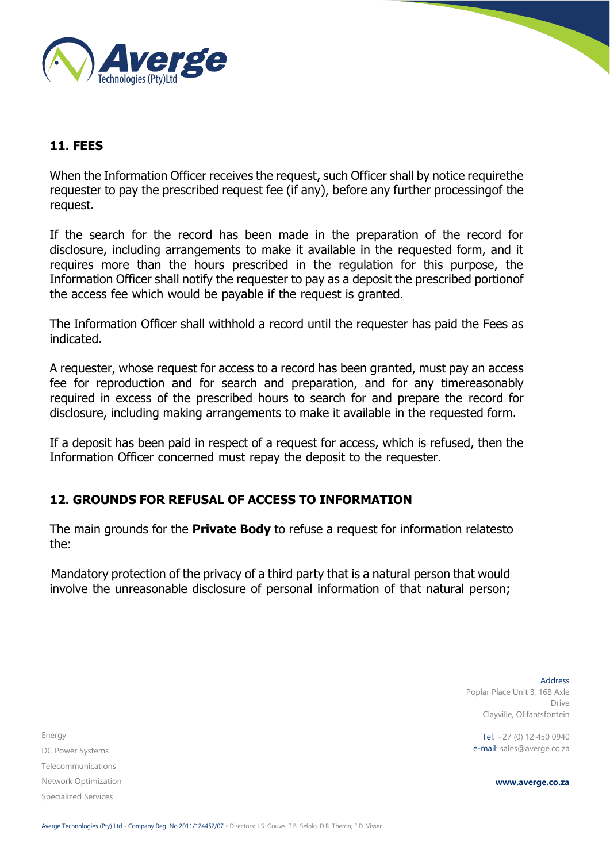

# <span id="page-17-0"></span>**11. FEES**

When the Information Officer receives the request, such Officer shall by notice requirethe requester to pay the prescribed request fee (if any), before any further processingof the request.

If the search for the record has been made in the preparation of the record for disclosure, including arrangements to make it available in the requested form, and it requires more than the hours prescribed in the regulation for this purpose, the Information Officer shall notify the requester to pay as a deposit the prescribed portionof the access fee which would be payable if the request is granted.

The Information Officer shall withhold a record until the requester has paid the Fees as indicated.

A requester, whose request for access to a record has been granted, must pay an access fee for reproduction and for search and preparation, and for any timereasonably required in excess of the prescribed hours to search for and prepare the record for disclosure, including making arrangements to make it available in the requested form.

If a deposit has been paid in respect of a request for access, which is refused, then the Information Officer concerned must repay the deposit to the requester.

### <span id="page-17-1"></span>**12. GROUNDS FOR REFUSAL OF ACCESS TO INFORMATION**

The main grounds for the **Private Body** to refuse a request for information relatesto the:

Mandatory protection of the privacy of a third party that is a natural person that would involve the unreasonable disclosure of personal information of that natural person;

Energy DC Power Systems Telecommunications Network Optimization Specialized Services

Address Poplar Place Unit 3, 16B Axle Drive Clayville, Olifantsfontein

Tel: +27 (0) 12 450 0940 e-mail: sales@averge.co.za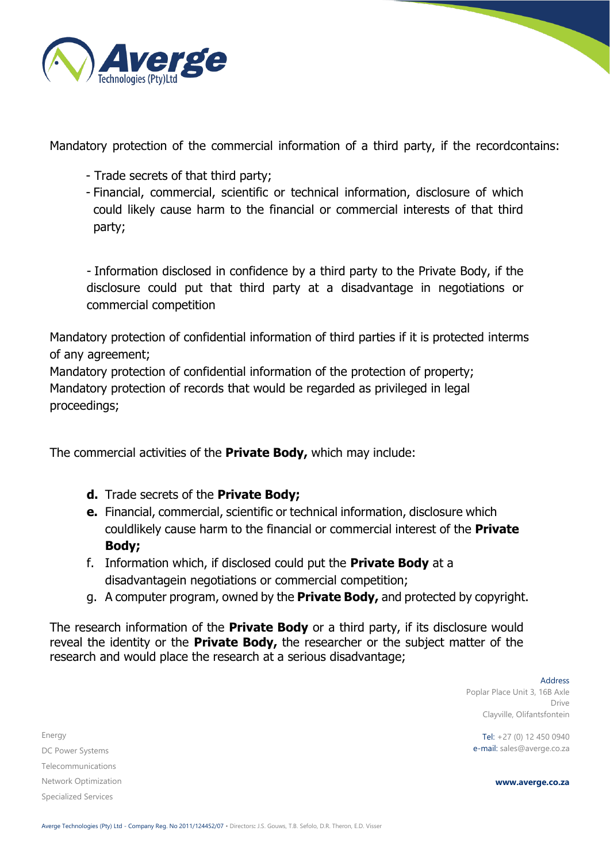

Mandatory protection of the commercial information of a third party, if the recordcontains:

- Trade secrets of that third party;
- Financial, commercial, scientific or technical information, disclosure of which could likely cause harm to the financial or commercial interests of that third party;

- Information disclosed in confidence by a third party to the Private Body, if the disclosure could put that third party at a disadvantage in negotiations or commercial competition

Mandatory protection of confidential information of third parties if it is protected interms of any agreement;

Mandatory protection of confidential information of the protection of property; Mandatory protection of records that would be regarded as privileged in legal proceedings;

The commercial activities of the **Private Body,** which may include:

- **d.** Trade secrets of the **Private Body;**
- **e.** Financial, commercial, scientific or technical information, disclosure which couldlikely cause harm to the financial or commercial interest of the **Private Body;**
- f. Information which, if disclosed could put the **Private Body** at a disadvantagein negotiations or commercial competition;
- g. A computer program, owned by the **Private Body,** and protected by copyright.

The research information of the **Private Body** or a third party, if its disclosure would reveal the identity or the **Private Body,** the researcher or the subject matter of the research and would place the research at a serious disadvantage;

> Address Poplar Place Unit 3, 16B Axle Drive Clayville, Olifantsfontein

Tel: +27 (0) 12 450 0940 e-mail: sales@averge.co.za

**www.averge.co.za**

Energy DC Power Systems Telecommunications Network Optimization Specialized Services